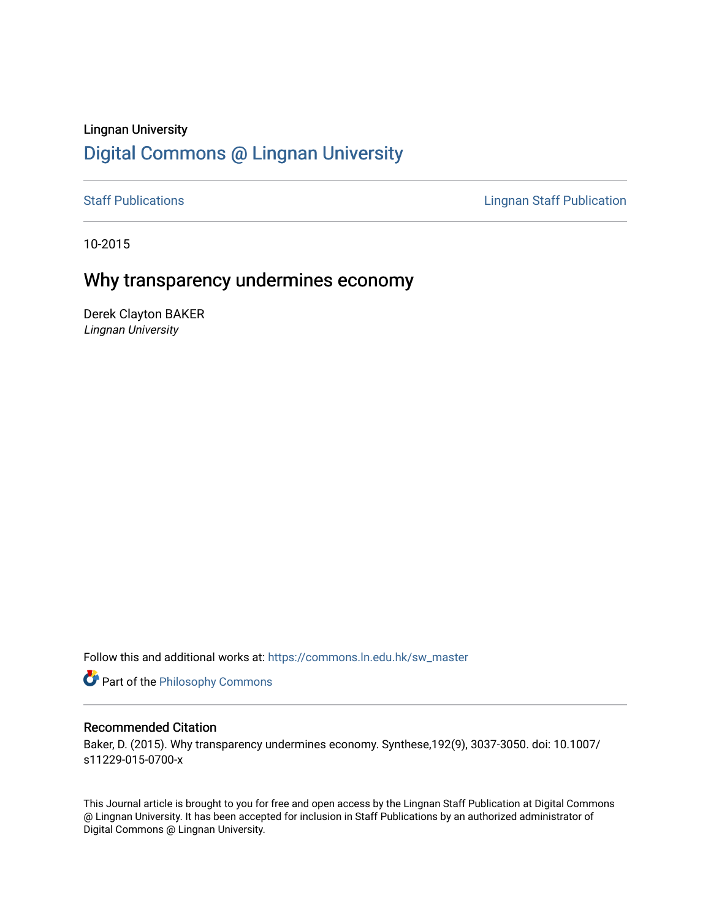## Lingnan University [Digital Commons @ Lingnan University](https://commons.ln.edu.hk/)

[Staff Publications](https://commons.ln.edu.hk/sw_master) **Staff Publications Lingnan Staff Publication** 

10-2015

# Why transparency undermines economy

Derek Clayton BAKER Lingnan University

Follow this and additional works at: [https://commons.ln.edu.hk/sw\\_master](https://commons.ln.edu.hk/sw_master?utm_source=commons.ln.edu.hk%2Fsw_master%2F3024&utm_medium=PDF&utm_campaign=PDFCoverPages) 

**Part of the Philosophy Commons** 

## Recommended Citation

Baker, D. (2015). Why transparency undermines economy. Synthese,192(9), 3037-3050. doi: 10.1007/ s11229-015-0700-x

This Journal article is brought to you for free and open access by the Lingnan Staff Publication at Digital Commons @ Lingnan University. It has been accepted for inclusion in Staff Publications by an authorized administrator of Digital Commons @ Lingnan University.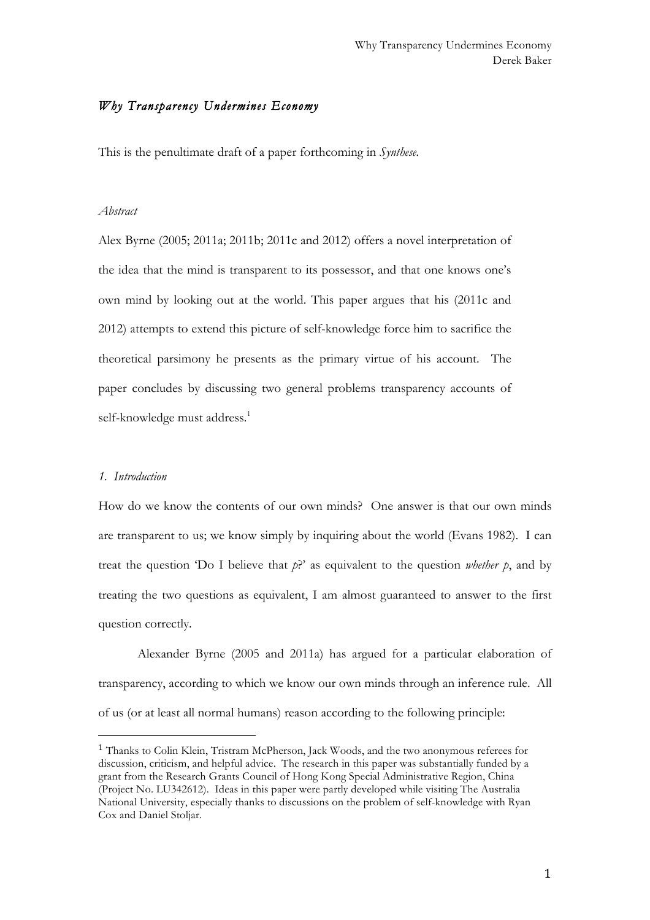## *Why Transparency Undermines Economy*

This is the penultimate draft of a paper forthcoming in *Synthese.*

#### *Abstract*

Alex Byrne (2005; 2011a; 2011b; 2011c and 2012) offers a novel interpretation of the idea that the mind is transparent to its possessor, and that one knows one's own mind by looking out at the world. This paper argues that his (2011c and 2012) attempts to extend this picture of self-knowledge force him to sacrifice the theoretical parsimony he presents as the primary virtue of his account. The paper concludes by discussing two general problems transparency accounts of self-knowledge must address.<sup>1</sup>

#### *1. Introduction*

 

How do we know the contents of our own minds? One answer is that our own minds are transparent to us; we know simply by inquiring about the world (Evans 1982). I can treat the question 'Do I believe that *p*?' as equivalent to the question *whether p*, and by treating the two questions as equivalent, I am almost guaranteed to answer to the first question correctly.

Alexander Byrne (2005 and 2011a) has argued for a particular elaboration of transparency, according to which we know our own minds through an inference rule. All of us (or at least all normal humans) reason according to the following principle:

<sup>1</sup> Thanks to Colin Klein, Tristram McPherson, Jack Woods, and the two anonymous referees for discussion, criticism, and helpful advice. The research in this paper was substantially funded by a grant from the Research Grants Council of Hong Kong Special Administrative Region, China (Project No. LU342612). Ideas in this paper were partly developed while visiting The Australia National University, especially thanks to discussions on the problem of self-knowledge with Ryan Cox and Daniel Stoljar.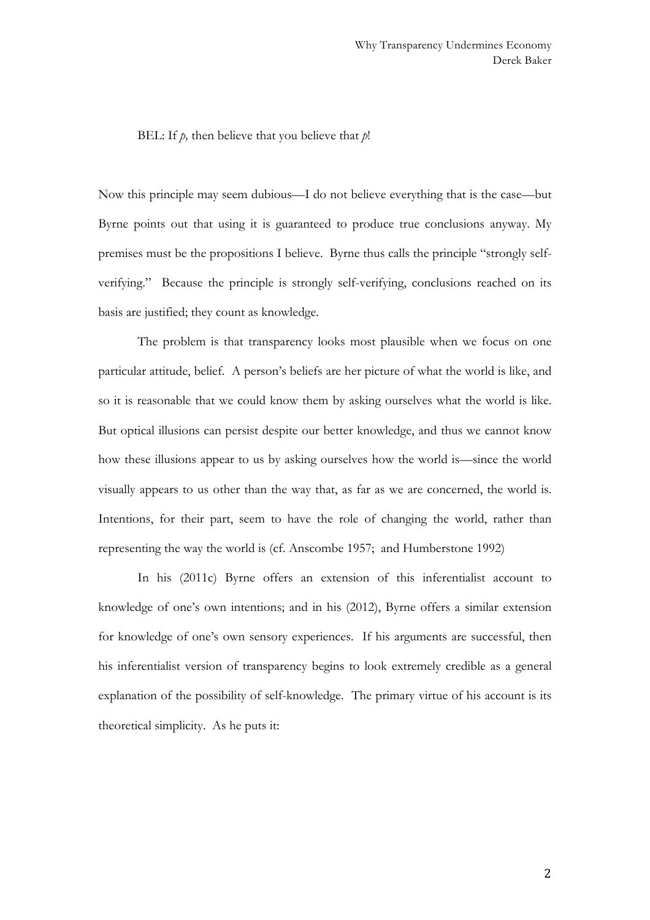#### BEL: If *p,* then believe that you believe that *p*!

Now this principle may seem dubious—I do not believe everything that is the case—but Byrne points out that using it is guaranteed to produce true conclusions anyway. My premises must be the propositions I believe. Byrne thus calls the principle "strongly selfverifying." Because the principle is strongly self-verifying, conclusions reached on its basis are justified; they count as knowledge.

The problem is that transparency looks most plausible when we focus on one particular attitude, belief. A person's beliefs are her picture of what the world is like, and so it is reasonable that we could know them by asking ourselves what the world is like. But optical illusions can persist despite our better knowledge, and thus we cannot know how these illusions appear to us by asking ourselves how the world is—since the world visually appears to us other than the way that, as far as we are concerned, the world is. Intentions, for their part, seem to have the role of changing the world, rather than representing the way the world is (cf. Anscombe 1957; and Humberstone 1992)

In his (2011c) Byrne offers an extension of this inferentialist account to knowledge of one's own intentions; and in his (2012), Byrne offers a similar extension for knowledge of one's own sensory experiences. If his arguments are successful, then his inferentialist version of transparency begins to look extremely credible as a general explanation of the possibility of self-knowledge. The primary virtue of his account is its theoretical simplicity. As he puts it: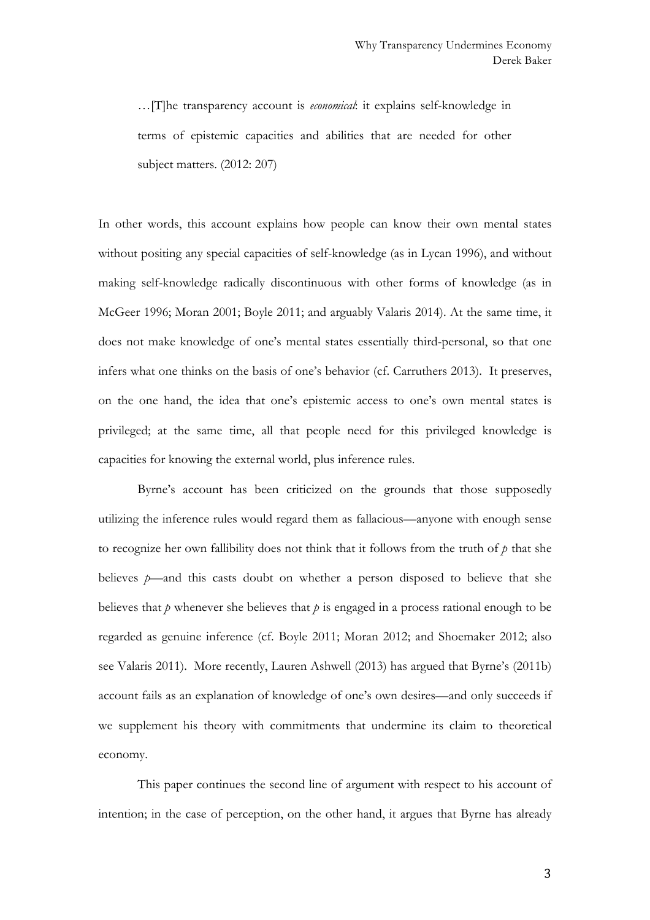…[T]he transparency account is *economical*: it explains self-knowledge in terms of epistemic capacities and abilities that are needed for other subject matters. (2012: 207)

In other words, this account explains how people can know their own mental states without positing any special capacities of self-knowledge (as in Lycan 1996), and without making self-knowledge radically discontinuous with other forms of knowledge (as in McGeer 1996; Moran 2001; Boyle 2011; and arguably Valaris 2014). At the same time, it does not make knowledge of one's mental states essentially third-personal, so that one infers what one thinks on the basis of one's behavior (cf. Carruthers 2013). It preserves, on the one hand, the idea that one's epistemic access to one's own mental states is privileged; at the same time, all that people need for this privileged knowledge is capacities for knowing the external world, plus inference rules.

Byrne's account has been criticized on the grounds that those supposedly utilizing the inference rules would regard them as fallacious—anyone with enough sense to recognize her own fallibility does not think that it follows from the truth of *p* that she believes *p*—and this casts doubt on whether a person disposed to believe that she believes that *p* whenever she believes that *p* is engaged in a process rational enough to be regarded as genuine inference (cf. Boyle 2011; Moran 2012; and Shoemaker 2012; also see Valaris 2011). More recently, Lauren Ashwell (2013) has argued that Byrne's (2011b) account fails as an explanation of knowledge of one's own desires—and only succeeds if we supplement his theory with commitments that undermine its claim to theoretical economy.

This paper continues the second line of argument with respect to his account of intention; in the case of perception, on the other hand, it argues that Byrne has already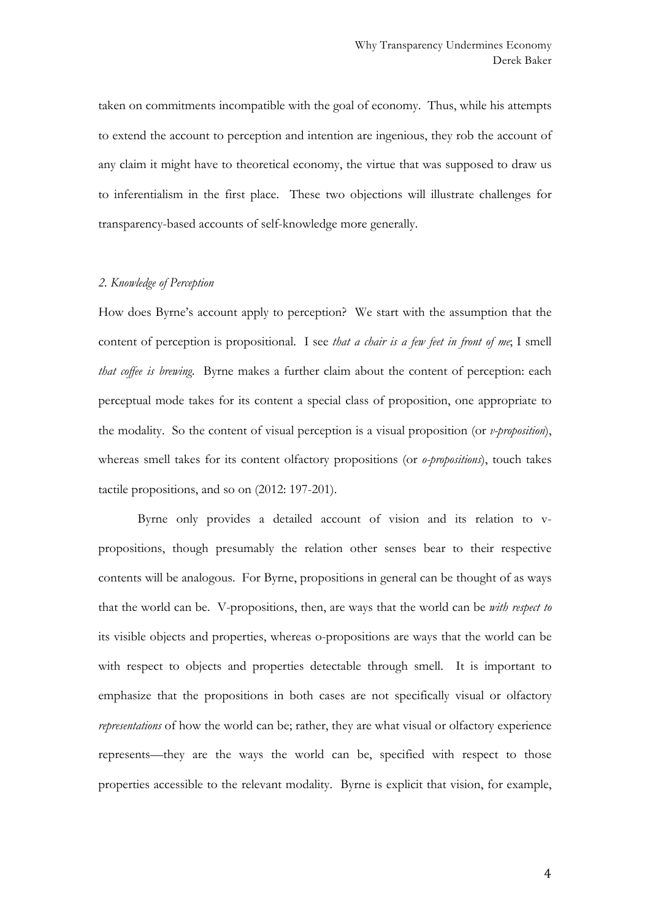taken on commitments incompatible with the goal of economy. Thus, while his attempts to extend the account to perception and intention are ingenious, they rob the account of any claim it might have to theoretical economy, the virtue that was supposed to draw us to inferentialism in the first place. These two objections will illustrate challenges for transparency-based accounts of self-knowledge more generally.

## *2. Knowledge of Perception*

How does Byrne's account apply to perception? We start with the assumption that the content of perception is propositional. I see *that a chair is a few feet in front of me*; I smell *that coffee is brewing*. Byrne makes a further claim about the content of perception: each perceptual mode takes for its content a special class of proposition, one appropriate to the modality. So the content of visual perception is a visual proposition (or *v-proposition*), whereas smell takes for its content olfactory propositions (or *o-propositions*), touch takes tactile propositions, and so on (2012: 197-201).

Byrne only provides a detailed account of vision and its relation to vpropositions, though presumably the relation other senses bear to their respective contents will be analogous. For Byrne, propositions in general can be thought of as ways that the world can be. V-propositions, then, are ways that the world can be *with respect to*  its visible objects and properties, whereas o-propositions are ways that the world can be with respect to objects and properties detectable through smell. It is important to emphasize that the propositions in both cases are not specifically visual or olfactory *representations* of how the world can be; rather, they are what visual or olfactory experience represents—they are the ways the world can be, specified with respect to those properties accessible to the relevant modality. Byrne is explicit that vision, for example,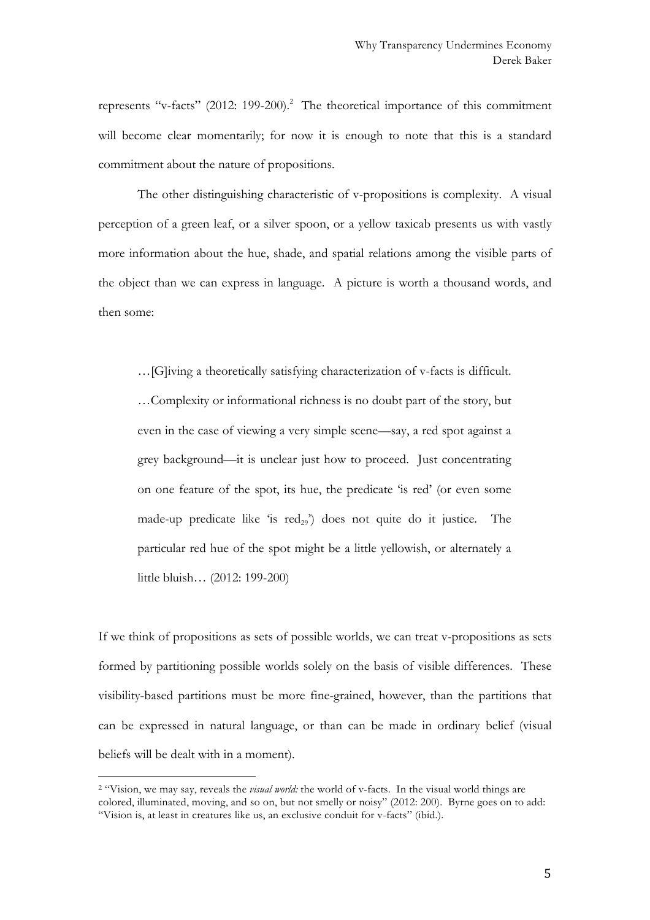represents "v-facts"  $(2012: 199-200)$ .<sup>2</sup> The theoretical importance of this commitment will become clear momentarily; for now it is enough to note that this is a standard commitment about the nature of propositions.

The other distinguishing characteristic of v-propositions is complexity. A visual perception of a green leaf, or a silver spoon, or a yellow taxicab presents us with vastly more information about the hue, shade, and spatial relations among the visible parts of the object than we can express in language. A picture is worth a thousand words, and then some:

…[G]iving a theoretically satisfying characterization of v-facts is difficult. …Complexity or informational richness is no doubt part of the story, but even in the case of viewing a very simple scene—say, a red spot against a grey background—it is unclear just how to proceed. Just concentrating on one feature of the spot, its hue, the predicate 'is red' (or even some made-up predicate like 'is  $\text{red}_{29}$ ' does not quite do it justice. The particular red hue of the spot might be a little yellowish, or alternately a little bluish… (2012: 199-200)

If we think of propositions as sets of possible worlds, we can treat v-propositions as sets formed by partitioning possible worlds solely on the basis of visible differences. These visibility-based partitions must be more fine-grained, however, than the partitions that can be expressed in natural language, or than can be made in ordinary belief (visual beliefs will be dealt with in a moment).

<sup>2</sup> "Vision, we may say, reveals the *visual world:* the world of v-facts. In the visual world things are colored, illuminated, moving, and so on, but not smelly or noisy" (2012: 200). Byrne goes on to add: "Vision is, at least in creatures like us, an exclusive conduit for v-facts" (ibid.).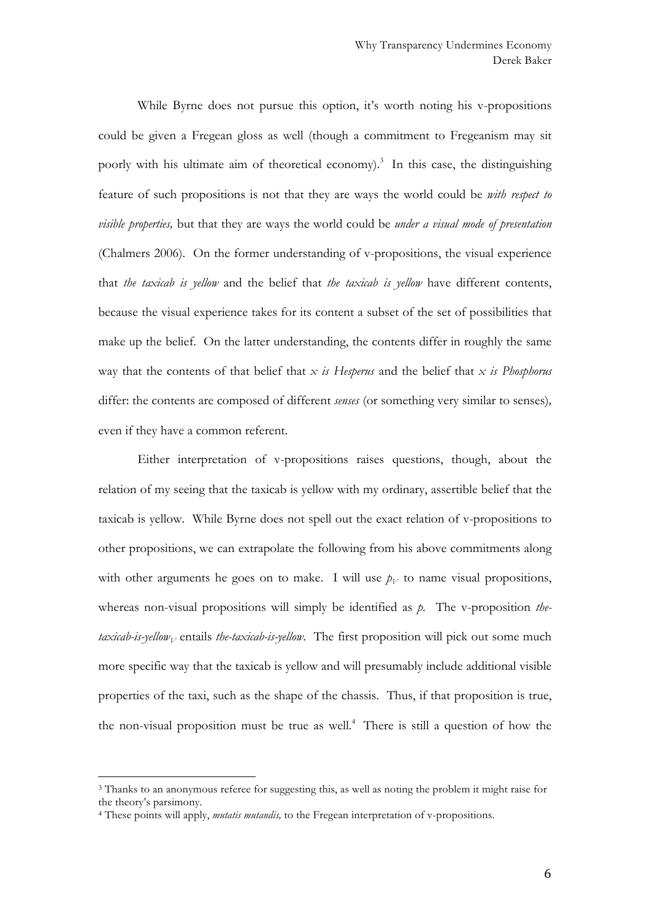While Byrne does not pursue this option, it's worth noting his v-propositions could be given a Fregean gloss as well (though a commitment to Fregeanism may sit poorly with his ultimate aim of theoretical economy).<sup>3</sup> In this case, the distinguishing feature of such propositions is not that they are ways the world could be *with respect to visible properties,* but that they are ways the world could be *under a visual mode of presentation* (Chalmers 2006). On the former understanding of v-propositions, the visual experience that *the taxicab is yellow* and the belief that *the taxicab is yellow* have different contents, because the visual experience takes for its content a subset of the set of possibilities that make up the belief. On the latter understanding, the contents differ in roughly the same way that the contents of that belief that *x is Hesperus* and the belief that *x is Phosphorus*  differ: the contents are composed of different *senses* (or something very similar to senses)*,*  even if they have a common referent.

Either interpretation of v-propositions raises questions, though, about the relation of my seeing that the taxicab is yellow with my ordinary, assertible belief that the taxicab is yellow. While Byrne does not spell out the exact relation of v-propositions to other propositions, we can extrapolate the following from his above commitments along with other arguments he goes on to make. I will use  $p_V$  to name visual propositions, whereas non-visual propositions will simply be identified as *p.* The v-proposition *thetaxicab-is-yellow<sub>V</sub>* entails *the-taxicab-is-yellow*. The first proposition will pick out some much more specific way that the taxicab is yellow and will presumably include additional visible properties of the taxi, such as the shape of the chassis. Thus, if that proposition is true, the non-visual proposition must be true as well.<sup>4</sup> There is still a question of how the

<sup>3</sup> Thanks to an anonymous referee for suggesting this, as well as noting the problem it might raise for the theory's parsimony.

<sup>4</sup> These points will apply, *mutatis mutandis,* to the Fregean interpretation of v-propositions.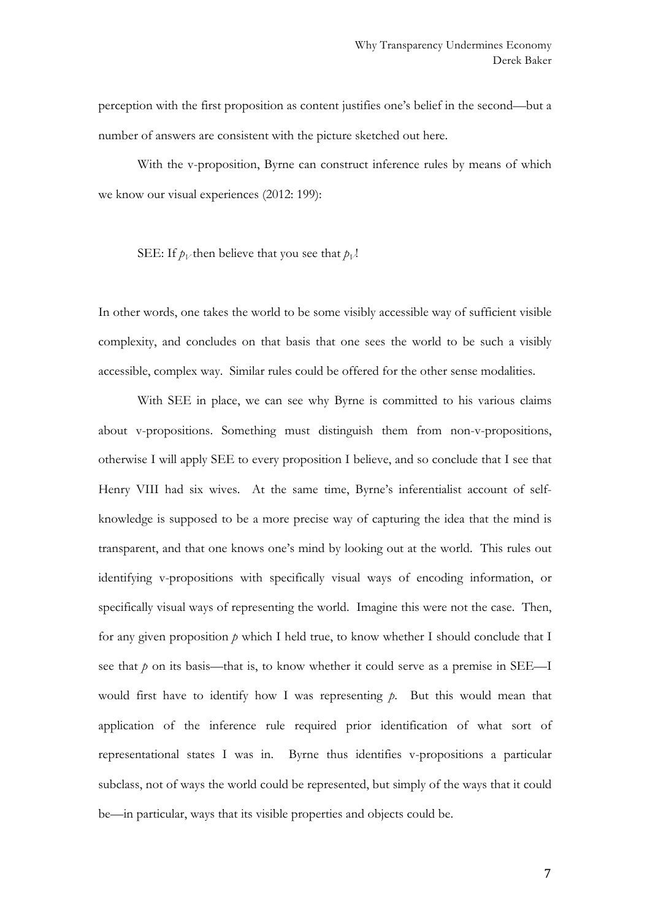perception with the first proposition as content justifies one's belief in the second—but a number of answers are consistent with the picture sketched out here.

With the v-proposition, Byrne can construct inference rules by means of which we know our visual experiences (2012: 199):

SEE: If  $p_V$  then believe that you see that  $p_V$ !

In other words, one takes the world to be some visibly accessible way of sufficient visible complexity, and concludes on that basis that one sees the world to be such a visibly accessible, complex way. Similar rules could be offered for the other sense modalities.

With SEE in place, we can see why Byrne is committed to his various claims about v-propositions. Something must distinguish them from non-v-propositions, otherwise I will apply SEE to every proposition I believe, and so conclude that I see that Henry VIII had six wives. At the same time, Byrne's inferentialist account of selfknowledge is supposed to be a more precise way of capturing the idea that the mind is transparent, and that one knows one's mind by looking out at the world. This rules out identifying v-propositions with specifically visual ways of encoding information, or specifically visual ways of representing the world. Imagine this were not the case. Then, for any given proposition *p* which I held true, to know whether I should conclude that I see that  $p$  on its basis—that is, to know whether it could serve as a premise in SEE—I would first have to identify how I was representing *p*. But this would mean that application of the inference rule required prior identification of what sort of representational states I was in. Byrne thus identifies v-propositions a particular subclass, not of ways the world could be represented, but simply of the ways that it could be—in particular, ways that its visible properties and objects could be.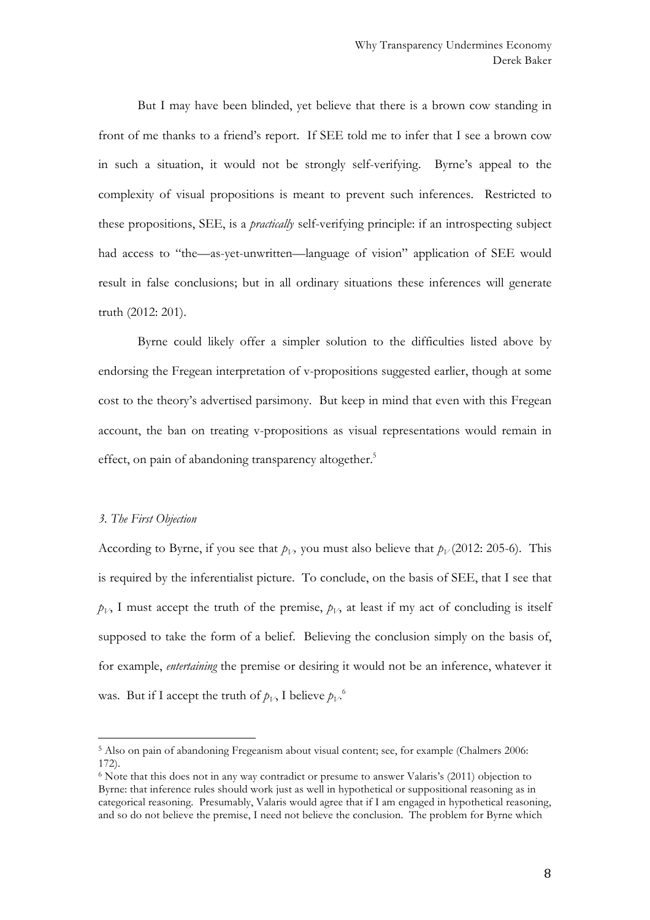But I may have been blinded, yet believe that there is a brown cow standing in front of me thanks to a friend's report. If SEE told me to infer that I see a brown cow in such a situation, it would not be strongly self-verifying. Byrne's appeal to the complexity of visual propositions is meant to prevent such inferences. Restricted to these propositions, SEE, is a *practically* self-verifying principle: if an introspecting subject had access to "the—as-yet-unwritten—language of vision" application of SEE would result in false conclusions; but in all ordinary situations these inferences will generate truth (2012: 201).

Byrne could likely offer a simpler solution to the difficulties listed above by endorsing the Fregean interpretation of v-propositions suggested earlier, though at some cost to the theory's advertised parsimony. But keep in mind that even with this Fregean account, the ban on treating v-propositions as visual representations would remain in effect, on pain of abandoning transparency altogether.<sup>5</sup>

#### *3. The First Objection*

 

According to Byrne, if you see that  $p_V$ , you must also believe that  $p_V$  (2012: 205-6). This is required by the inferentialist picture. To conclude, on the basis of SEE, that I see that  $p_V$ , I must accept the truth of the premise,  $p_V$ , at least if my act of concluding is itself supposed to take the form of a belief. Believing the conclusion simply on the basis of, for example, *entertaining* the premise or desiring it would not be an inference, whatever it was. But if I accept the truth of  $p_V$ , I believe  $p_V^6$ .

<sup>5</sup> Also on pain of abandoning Fregeanism about visual content; see, for example (Chalmers 2006: 172).

<sup>6</sup> Note that this does not in any way contradict or presume to answer Valaris's (2011) objection to Byrne: that inference rules should work just as well in hypothetical or suppositional reasoning as in categorical reasoning. Presumably, Valaris would agree that if I am engaged in hypothetical reasoning, and so do not believe the premise, I need not believe the conclusion. The problem for Byrne which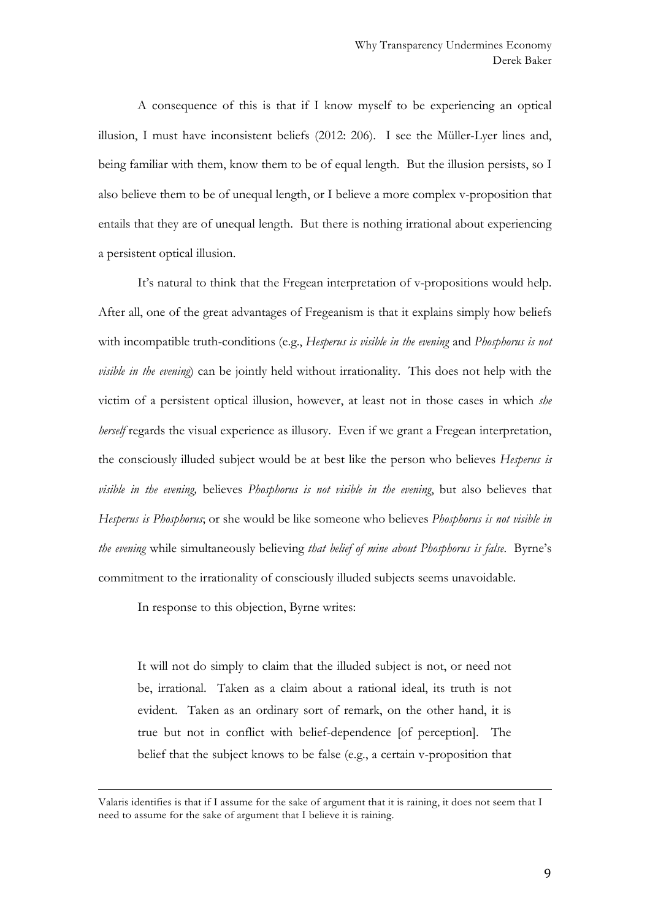A consequence of this is that if I know myself to be experiencing an optical illusion, I must have inconsistent beliefs (2012: 206). I see the Müller-Lyer lines and, being familiar with them, know them to be of equal length. But the illusion persists, so I also believe them to be of unequal length, or I believe a more complex v-proposition that entails that they are of unequal length. But there is nothing irrational about experiencing a persistent optical illusion.

It's natural to think that the Fregean interpretation of v-propositions would help. After all, one of the great advantages of Fregeanism is that it explains simply how beliefs with incompatible truth-conditions (e.g., *Hesperus is visible in the evening* and *Phosphorus is not visible in the evening*) can be jointly held without irrationality. This does not help with the victim of a persistent optical illusion, however, at least not in those cases in which *she herself* regards the visual experience as illusory. Even if we grant a Fregean interpretation, the consciously illuded subject would be at best like the person who believes *Hesperus is visible in the evening,* believes *Phosphorus is not visible in the evening*, but also believes that *Hesperus is Phosphorus*; or she would be like someone who believes *Phosphorus is not visible in the evening* while simultaneously believing *that belief of mine about Phosphorus is false*. Byrne's commitment to the irrationality of consciously illuded subjects seems unavoidable.

In response to this objection, Byrne writes:

It will not do simply to claim that the illuded subject is not, or need not be, irrational. Taken as a claim about a rational ideal, its truth is not evident. Taken as an ordinary sort of remark, on the other hand, it is true but not in conflict with belief-dependence [of perception]. The belief that the subject knows to be false (e.g., a certain v-proposition that

<u> 1989 - Andrea Santa Alemania, poeta esperanto-se especial de la propia de la propia de la propia de la propia</u>

Valaris identifies is that if I assume for the sake of argument that it is raining, it does not seem that I need to assume for the sake of argument that I believe it is raining.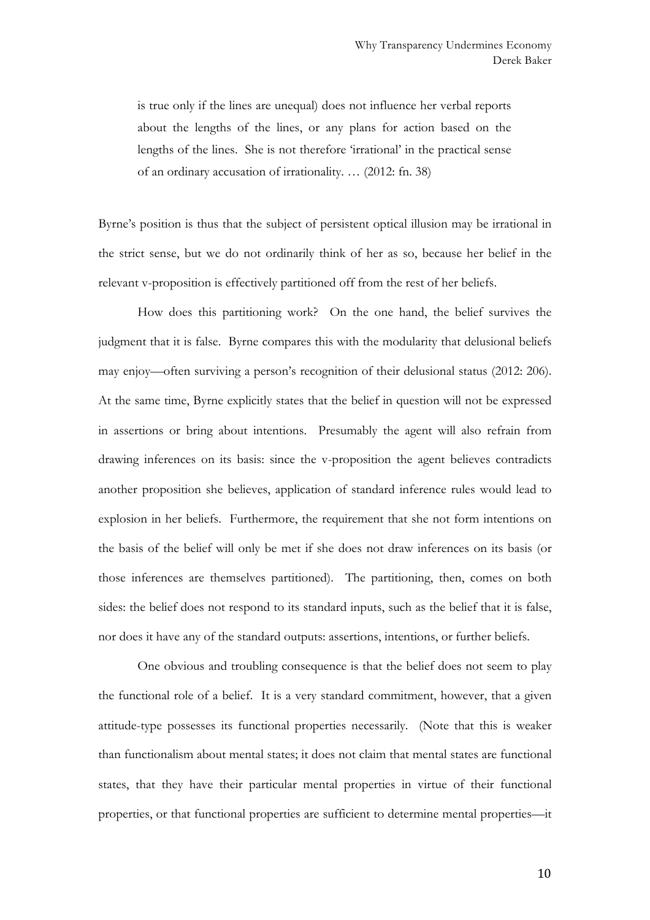is true only if the lines are unequal) does not influence her verbal reports about the lengths of the lines, or any plans for action based on the lengths of the lines. She is not therefore 'irrational' in the practical sense of an ordinary accusation of irrationality. … (2012: fn. 38)

Byrne's position is thus that the subject of persistent optical illusion may be irrational in the strict sense, but we do not ordinarily think of her as so, because her belief in the relevant v-proposition is effectively partitioned off from the rest of her beliefs.

How does this partitioning work? On the one hand, the belief survives the judgment that it is false. Byrne compares this with the modularity that delusional beliefs may enjoy—often surviving a person's recognition of their delusional status (2012: 206). At the same time, Byrne explicitly states that the belief in question will not be expressed in assertions or bring about intentions. Presumably the agent will also refrain from drawing inferences on its basis: since the v-proposition the agent believes contradicts another proposition she believes, application of standard inference rules would lead to explosion in her beliefs. Furthermore, the requirement that she not form intentions on the basis of the belief will only be met if she does not draw inferences on its basis (or those inferences are themselves partitioned). The partitioning, then, comes on both sides: the belief does not respond to its standard inputs, such as the belief that it is false, nor does it have any of the standard outputs: assertions, intentions, or further beliefs.

One obvious and troubling consequence is that the belief does not seem to play the functional role of a belief. It is a very standard commitment, however, that a given attitude-type possesses its functional properties necessarily. (Note that this is weaker than functionalism about mental states; it does not claim that mental states are functional states, that they have their particular mental properties in virtue of their functional properties, or that functional properties are sufficient to determine mental properties—it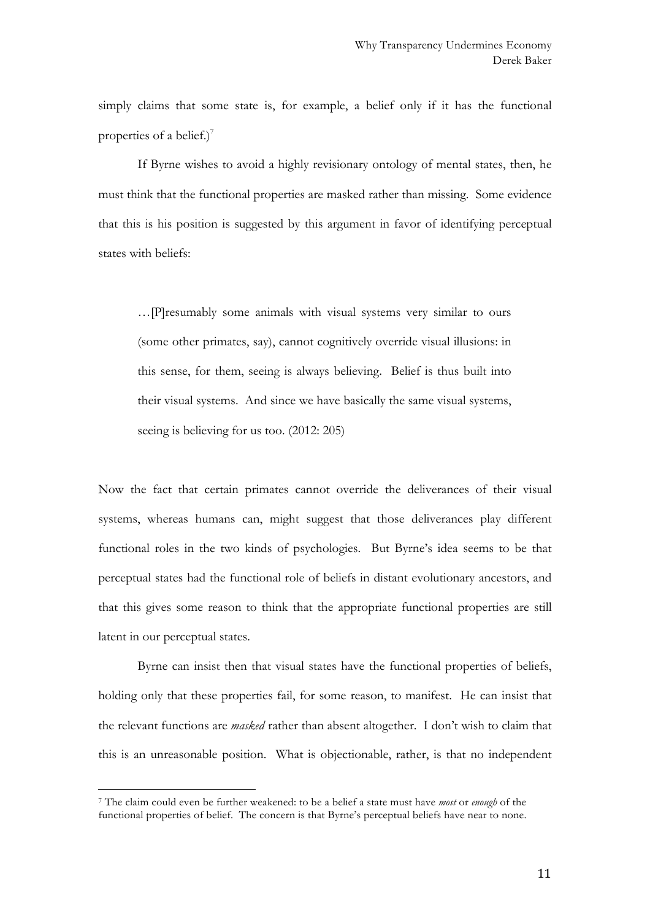simply claims that some state is, for example, a belief only if it has the functional properties of a belief.)<sup>7</sup>

If Byrne wishes to avoid a highly revisionary ontology of mental states, then, he must think that the functional properties are masked rather than missing. Some evidence that this is his position is suggested by this argument in favor of identifying perceptual states with beliefs:

…[P]resumably some animals with visual systems very similar to ours (some other primates, say), cannot cognitively override visual illusions: in this sense, for them, seeing is always believing. Belief is thus built into their visual systems. And since we have basically the same visual systems, seeing is believing for us too. (2012: 205)

Now the fact that certain primates cannot override the deliverances of their visual systems, whereas humans can, might suggest that those deliverances play different functional roles in the two kinds of psychologies. But Byrne's idea seems to be that perceptual states had the functional role of beliefs in distant evolutionary ancestors, and that this gives some reason to think that the appropriate functional properties are still latent in our perceptual states.

Byrne can insist then that visual states have the functional properties of beliefs, holding only that these properties fail, for some reason, to manifest. He can insist that the relevant functions are *masked* rather than absent altogether. I don't wish to claim that this is an unreasonable position. What is objectionable, rather, is that no independent

<sup>7</sup> The claim could even be further weakened: to be a belief a state must have *most* or *enough* of the functional properties of belief. The concern is that Byrne's perceptual beliefs have near to none.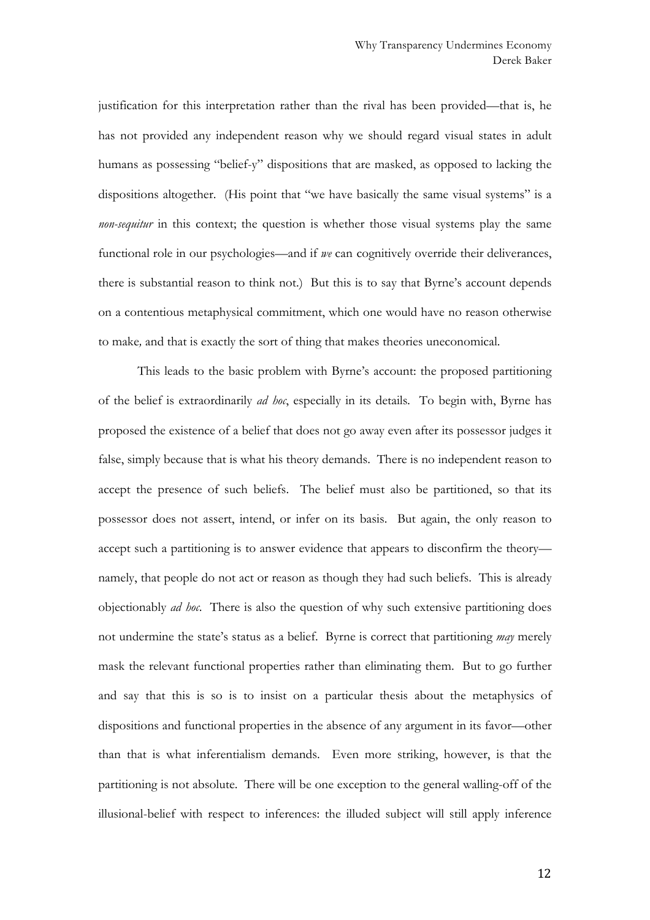justification for this interpretation rather than the rival has been provided—that is, he has not provided any independent reason why we should regard visual states in adult humans as possessing "belief-y" dispositions that are masked, as opposed to lacking the dispositions altogether. (His point that "we have basically the same visual systems" is a *non-sequitur* in this context; the question is whether those visual systems play the same functional role in our psychologies—and if *we* can cognitively override their deliverances, there is substantial reason to think not.) But this is to say that Byrne's account depends on a contentious metaphysical commitment, which one would have no reason otherwise to make*,* and that is exactly the sort of thing that makes theories uneconomical.

This leads to the basic problem with Byrne's account: the proposed partitioning of the belief is extraordinarily *ad hoc*, especially in its details*.* To begin with, Byrne has proposed the existence of a belief that does not go away even after its possessor judges it false, simply because that is what his theory demands. There is no independent reason to accept the presence of such beliefs. The belief must also be partitioned, so that its possessor does not assert, intend, or infer on its basis. But again, the only reason to accept such a partitioning is to answer evidence that appears to disconfirm the theory namely, that people do not act or reason as though they had such beliefs. This is already objectionably *ad hoc*. There is also the question of why such extensive partitioning does not undermine the state's status as a belief. Byrne is correct that partitioning *may* merely mask the relevant functional properties rather than eliminating them. But to go further and say that this is so is to insist on a particular thesis about the metaphysics of dispositions and functional properties in the absence of any argument in its favor—other than that is what inferentialism demands. Even more striking, however, is that the partitioning is not absolute. There will be one exception to the general walling-off of the illusional-belief with respect to inferences: the illuded subject will still apply inference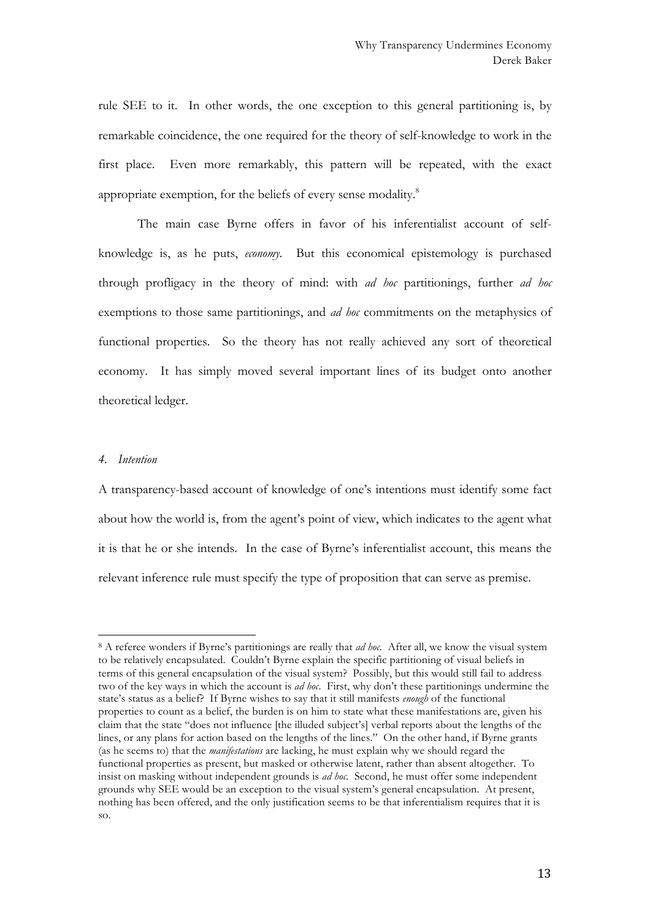rule SEE to it. In other words, the one exception to this general partitioning is, by remarkable coincidence, the one required for the theory of self-knowledge to work in the first place. Even more remarkably, this pattern will be repeated, with the exact appropriate exemption, for the beliefs of every sense modality.8

The main case Byrne offers in favor of his inferentialist account of selfknowledge is, as he puts, *economy*. But this economical epistemology is purchased through profligacy in the theory of mind: with *ad hoc* partitionings, further *ad hoc*  exemptions to those same partitionings, and *ad hoc* commitments on the metaphysics of functional properties. So the theory has not really achieved any sort of theoretical economy. It has simply moved several important lines of its budget onto another theoretical ledger.

## *4. Intention*

 

A transparency-based account of knowledge of one's intentions must identify some fact about how the world is, from the agent's point of view, which indicates to the agent what it is that he or she intends. In the case of Byrne's inferentialist account, this means the relevant inference rule must specify the type of proposition that can serve as premise.

<sup>8</sup> A referee wonders if Byrne's partitionings are really that *ad hoc.* After all, we know the visual system to be relatively encapsulated. Couldn't Byrne explain the specific partitioning of visual beliefs in terms of this general encapsulation of the visual system? Possibly, but this would still fail to address two of the key ways in which the account is *ad hoc*. First, why don't these partitionings undermine the state's status as a belief? If Byrne wishes to say that it still manifests *enough* of the functional properties to count as a belief, the burden is on him to state what these manifestations are, given his claim that the state "does not influence [the illuded subject's] verbal reports about the lengths of the lines, or any plans for action based on the lengths of the lines." On the other hand, if Byrne grants (as he seems to) that the *manifestations* are lacking, he must explain why we should regard the functional properties as present, but masked or otherwise latent, rather than absent altogether. To insist on masking without independent grounds is *ad hoc.* Second, he must offer some independent grounds why SEE would be an exception to the visual system's general encapsulation. At present, nothing has been offered, and the only justification seems to be that inferentialism requires that it is so.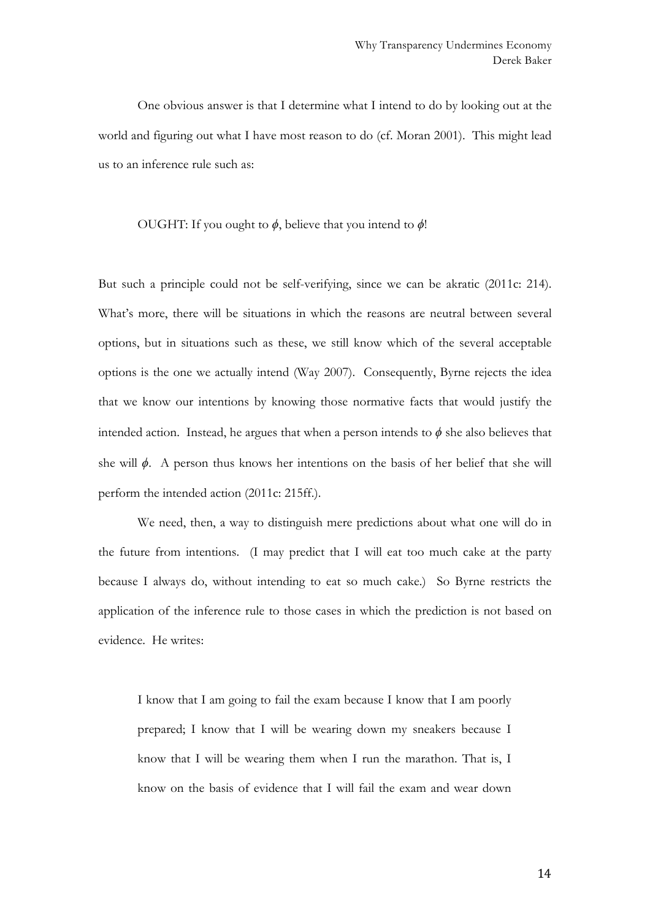One obvious answer is that I determine what I intend to do by looking out at the world and figuring out what I have most reason to do (cf. Moran 2001). This might lead us to an inference rule such as:

#### OUGHT: If you ought to  $\phi$ , believe that you intend to  $\phi$ !

But such a principle could not be self-verifying, since we can be akratic (2011c: 214). What's more, there will be situations in which the reasons are neutral between several options, but in situations such as these, we still know which of the several acceptable options is the one we actually intend (Way 2007). Consequently, Byrne rejects the idea that we know our intentions by knowing those normative facts that would justify the intended action. Instead, he argues that when a person intends to  $\phi$  she also believes that she will *ϕ*. A person thus knows her intentions on the basis of her belief that she will perform the intended action (2011c: 215ff.).

We need, then, a way to distinguish mere predictions about what one will do in the future from intentions. (I may predict that I will eat too much cake at the party because I always do, without intending to eat so much cake.) So Byrne restricts the application of the inference rule to those cases in which the prediction is not based on evidence. He writes:

I know that I am going to fail the exam because I know that I am poorly prepared; I know that I will be wearing down my sneakers because I know that I will be wearing them when I run the marathon. That is, I know on the basis of evidence that I will fail the exam and wear down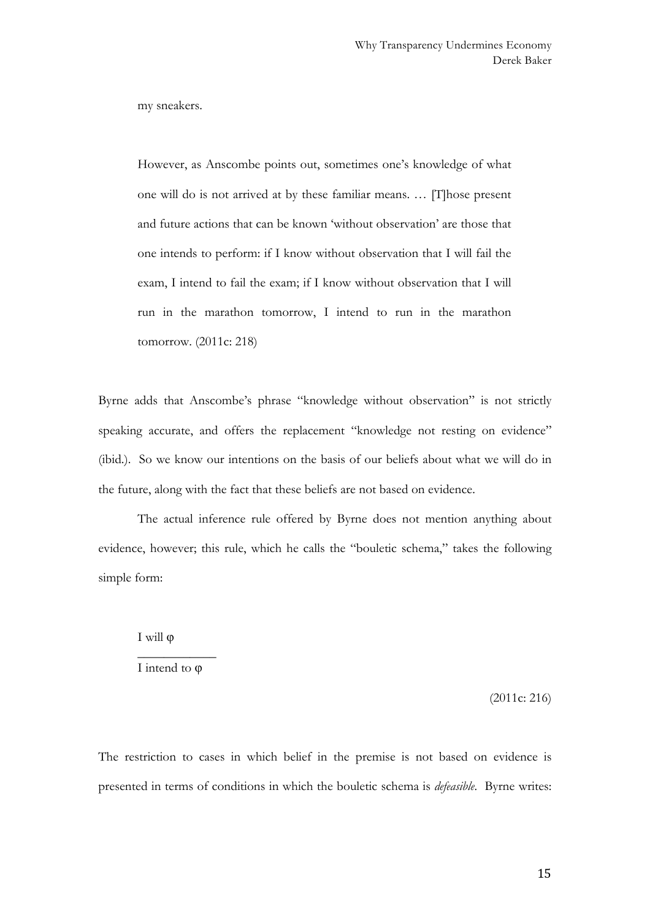my sneakers.

However, as Anscombe points out, sometimes one's knowledge of what one will do is not arrived at by these familiar means. … [T]hose present and future actions that can be known 'without observation' are those that one intends to perform: if I know without observation that I will fail the exam, I intend to fail the exam; if I know without observation that I will run in the marathon tomorrow, I intend to run in the marathon tomorrow. (2011c: 218)

Byrne adds that Anscombe's phrase "knowledge without observation" is not strictly speaking accurate, and offers the replacement "knowledge not resting on evidence" (ibid.). So we know our intentions on the basis of our beliefs about what we will do in the future, along with the fact that these beliefs are not based on evidence.

The actual inference rule offered by Byrne does not mention anything about evidence, however; this rule, which he calls the "bouletic schema," takes the following simple form:

I will φ

 $\overline{\phantom{a}}$  , where  $\overline{\phantom{a}}$ I intend to φ

(2011c: 216)

The restriction to cases in which belief in the premise is not based on evidence is presented in terms of conditions in which the bouletic schema is *defeasible*. Byrne writes: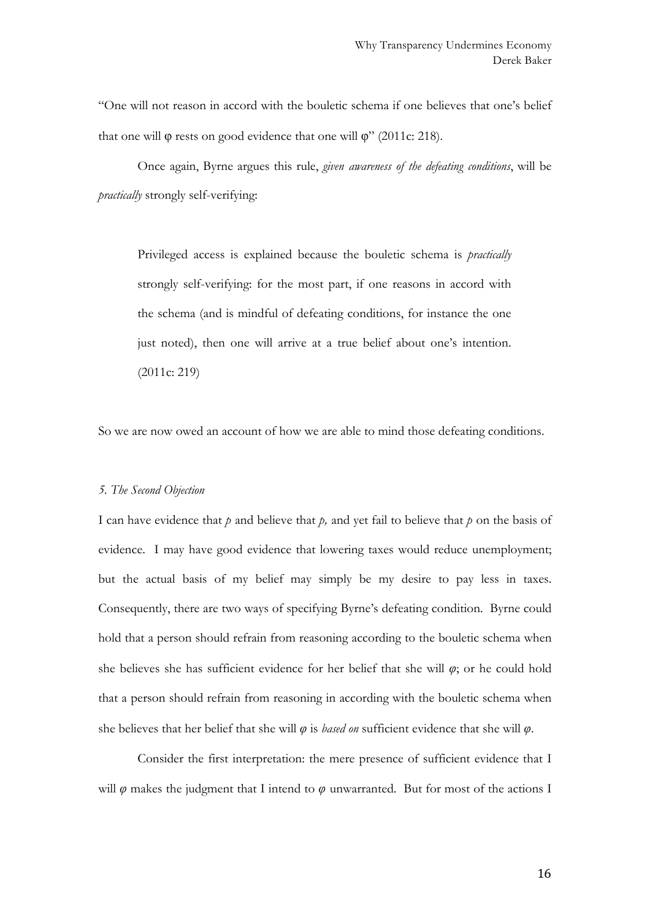"One will not reason in accord with the bouletic schema if one believes that one's belief that one will  $\varphi$  rests on good evidence that one will  $\varphi$ " (2011c: 218).

Once again, Byrne argues this rule, *given awareness of the defeating conditions*, will be *practically* strongly self-verifying:

Privileged access is explained because the bouletic schema is *practically* strongly self-verifying: for the most part, if one reasons in accord with the schema (and is mindful of defeating conditions, for instance the one just noted), then one will arrive at a true belief about one's intention. (2011c: 219)

So we are now owed an account of how we are able to mind those defeating conditions.

#### *5. The Second Objection*

I can have evidence that *p* and believe that *p,* and yet fail to believe that *p* on the basis of evidence. I may have good evidence that lowering taxes would reduce unemployment; but the actual basis of my belief may simply be my desire to pay less in taxes. Consequently, there are two ways of specifying Byrne's defeating condition. Byrne could hold that a person should refrain from reasoning according to the bouletic schema when she believes she has sufficient evidence for her belief that she will *φ*; or he could hold that a person should refrain from reasoning in according with the bouletic schema when she believes that her belief that she will *φ* is *based on* sufficient evidence that she will *φ*.

Consider the first interpretation: the mere presence of sufficient evidence that I will *φ* makes the judgment that I intend to *φ* unwarranted. But for most of the actions I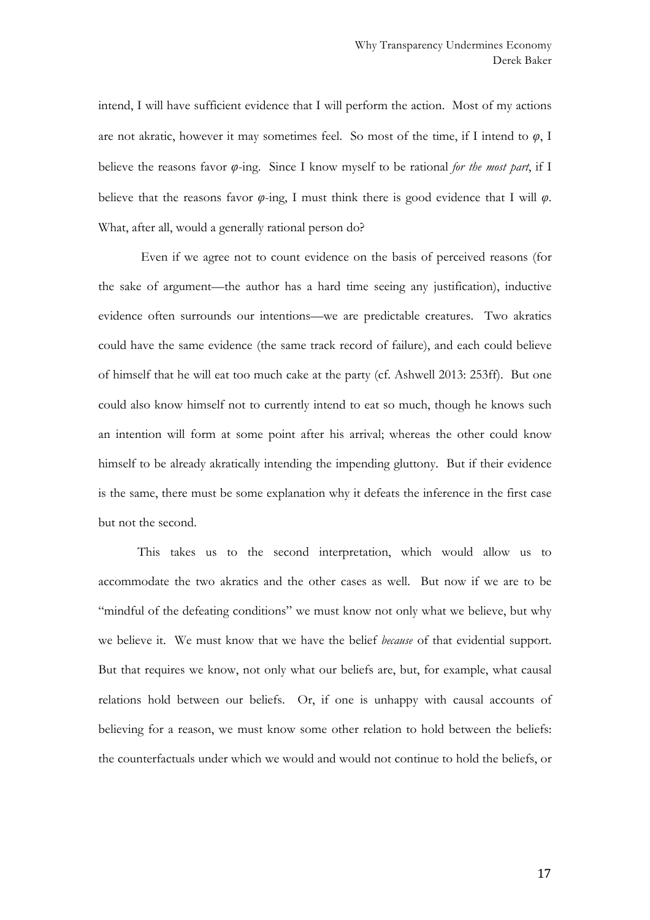intend, I will have sufficient evidence that I will perform the action. Most of my actions are not akratic, however it may sometimes feel. So most of the time, if I intend to *φ*, I believe the reasons favor *φ*-ing. Since I know myself to be rational *for the most part*, if I believe that the reasons favor *φ*-ing, I must think there is good evidence that I will *φ*. What, after all, would a generally rational person do?

Even if we agree not to count evidence on the basis of perceived reasons (for the sake of argument—the author has a hard time seeing any justification), inductive evidence often surrounds our intentions—we are predictable creatures. Two akratics could have the same evidence (the same track record of failure), and each could believe of himself that he will eat too much cake at the party (cf. Ashwell 2013: 253ff). But one could also know himself not to currently intend to eat so much, though he knows such an intention will form at some point after his arrival; whereas the other could know himself to be already akratically intending the impending gluttony. But if their evidence is the same, there must be some explanation why it defeats the inference in the first case but not the second.

This takes us to the second interpretation, which would allow us to accommodate the two akratics and the other cases as well. But now if we are to be "mindful of the defeating conditions" we must know not only what we believe, but why we believe it. We must know that we have the belief *because* of that evidential support. But that requires we know, not only what our beliefs are, but, for example, what causal relations hold between our beliefs. Or, if one is unhappy with causal accounts of believing for a reason, we must know some other relation to hold between the beliefs: the counterfactuals under which we would and would not continue to hold the beliefs, or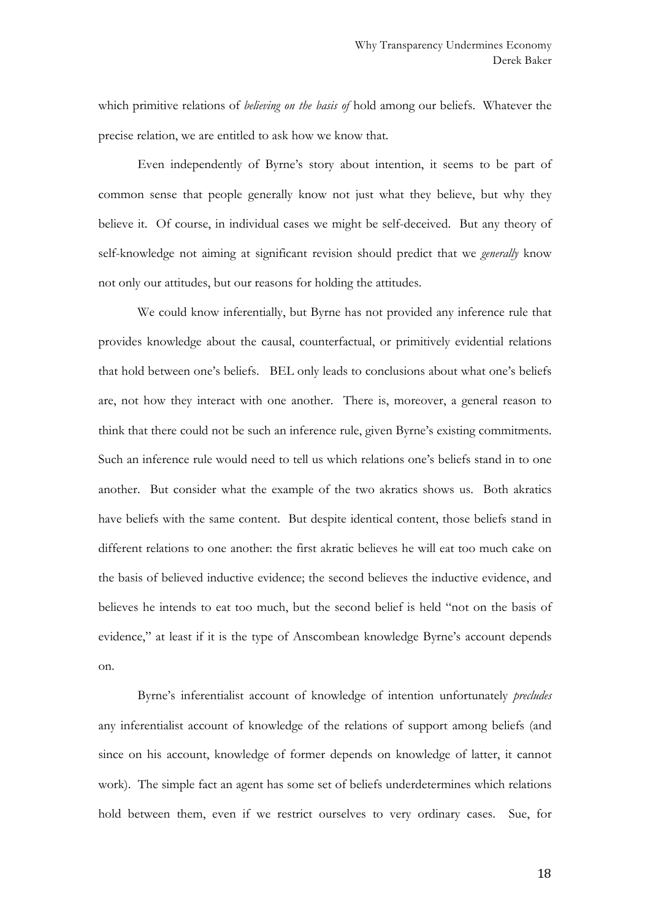which primitive relations of *believing on the basis of* hold among our beliefs. Whatever the precise relation, we are entitled to ask how we know that.

Even independently of Byrne's story about intention, it seems to be part of common sense that people generally know not just what they believe, but why they believe it. Of course, in individual cases we might be self-deceived. But any theory of self-knowledge not aiming at significant revision should predict that we *generally* know not only our attitudes, but our reasons for holding the attitudes.

We could know inferentially, but Byrne has not provided any inference rule that provides knowledge about the causal, counterfactual, or primitively evidential relations that hold between one's beliefs. BEL only leads to conclusions about what one's beliefs are, not how they interact with one another. There is, moreover, a general reason to think that there could not be such an inference rule, given Byrne's existing commitments. Such an inference rule would need to tell us which relations one's beliefs stand in to one another. But consider what the example of the two akratics shows us. Both akratics have beliefs with the same content. But despite identical content, those beliefs stand in different relations to one another: the first akratic believes he will eat too much cake on the basis of believed inductive evidence; the second believes the inductive evidence, and believes he intends to eat too much, but the second belief is held "not on the basis of evidence," at least if it is the type of Anscombean knowledge Byrne's account depends on.

Byrne's inferentialist account of knowledge of intention unfortunately *precludes* any inferentialist account of knowledge of the relations of support among beliefs (and since on his account, knowledge of former depends on knowledge of latter, it cannot work). The simple fact an agent has some set of beliefs underdetermines which relations hold between them, even if we restrict ourselves to very ordinary cases. Sue, for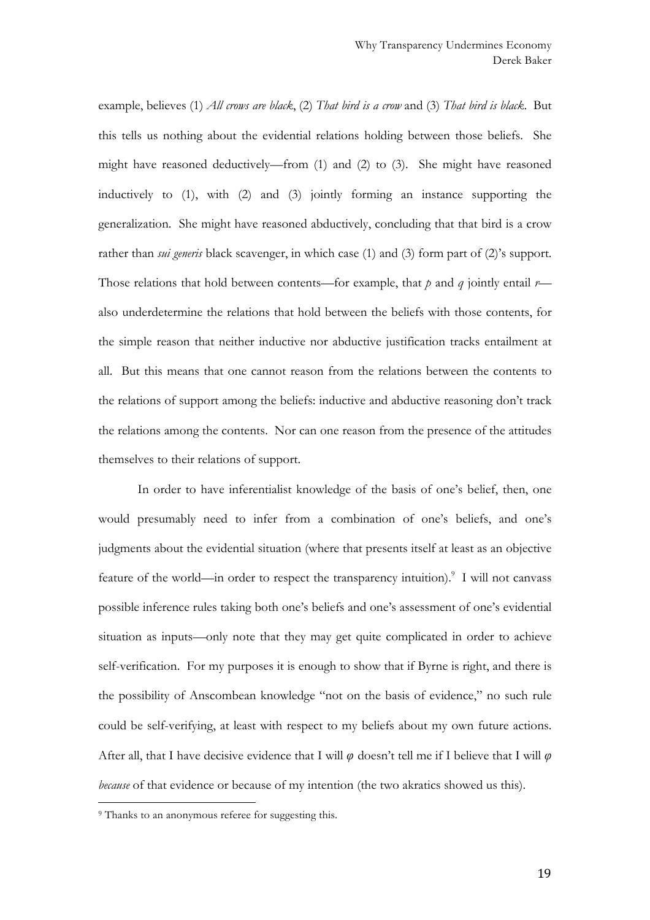example, believes (1) *All crows are black*, (2) *That bird is a crow* and (3) *That bird is black*. But this tells us nothing about the evidential relations holding between those beliefs. She might have reasoned deductively—from (1) and (2) to (3). She might have reasoned inductively to (1), with (2) and (3) jointly forming an instance supporting the generalization. She might have reasoned abductively, concluding that that bird is a crow rather than *sui generis* black scavenger, in which case (1) and (3) form part of (2)'s support. Those relations that hold between contents—for example, that *p* and *q* jointly entail *r* also underdetermine the relations that hold between the beliefs with those contents, for the simple reason that neither inductive nor abductive justification tracks entailment at all. But this means that one cannot reason from the relations between the contents to the relations of support among the beliefs: inductive and abductive reasoning don't track the relations among the contents. Nor can one reason from the presence of the attitudes themselves to their relations of support.

In order to have inferentialist knowledge of the basis of one's belief, then, one would presumably need to infer from a combination of one's beliefs, and one's judgments about the evidential situation (where that presents itself at least as an objective feature of the world—in order to respect the transparency intuition).<sup>9</sup> I will not canvass possible inference rules taking both one's beliefs and one's assessment of one's evidential situation as inputs—only note that they may get quite complicated in order to achieve self-verification. For my purposes it is enough to show that if Byrne is right, and there is the possibility of Anscombean knowledge "not on the basis of evidence," no such rule could be self-verifying, at least with respect to my beliefs about my own future actions. After all, that I have decisive evidence that I will *φ* doesn't tell me if I believe that I will *φ because* of that evidence or because of my intention (the two akratics showed us this).

<sup>9</sup> Thanks to an anonymous referee for suggesting this.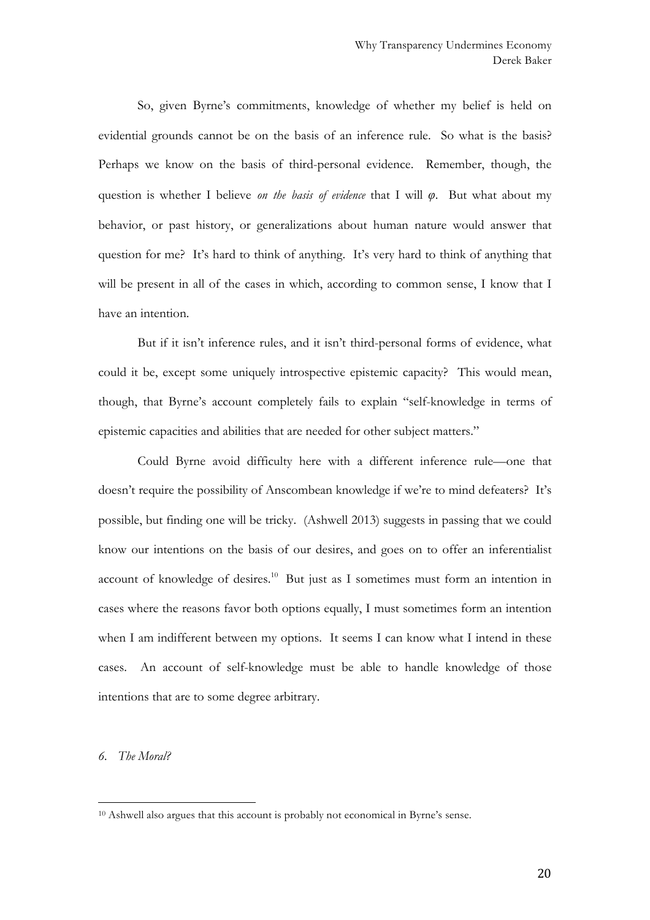So, given Byrne's commitments, knowledge of whether my belief is held on evidential grounds cannot be on the basis of an inference rule. So what is the basis? Perhaps we know on the basis of third-personal evidence. Remember, though, the question is whether I believe *on the basis of evidence* that I will *φ*. But what about my behavior, or past history, or generalizations about human nature would answer that question for me? It's hard to think of anything. It's very hard to think of anything that will be present in all of the cases in which, according to common sense, I know that I have an intention.

But if it isn't inference rules, and it isn't third-personal forms of evidence, what could it be, except some uniquely introspective epistemic capacity? This would mean, though, that Byrne's account completely fails to explain "self-knowledge in terms of epistemic capacities and abilities that are needed for other subject matters."

Could Byrne avoid difficulty here with a different inference rule—one that doesn't require the possibility of Anscombean knowledge if we're to mind defeaters? It's possible, but finding one will be tricky. (Ashwell 2013) suggests in passing that we could know our intentions on the basis of our desires, and goes on to offer an inferentialist account of knowledge of desires.10 But just as I sometimes must form an intention in cases where the reasons favor both options equally, I must sometimes form an intention when I am indifferent between my options. It seems I can know what I intend in these cases. An account of self-knowledge must be able to handle knowledge of those intentions that are to some degree arbitrary.

## *6. The Moral?*

<sup>10</sup> Ashwell also argues that this account is probably not economical in Byrne's sense.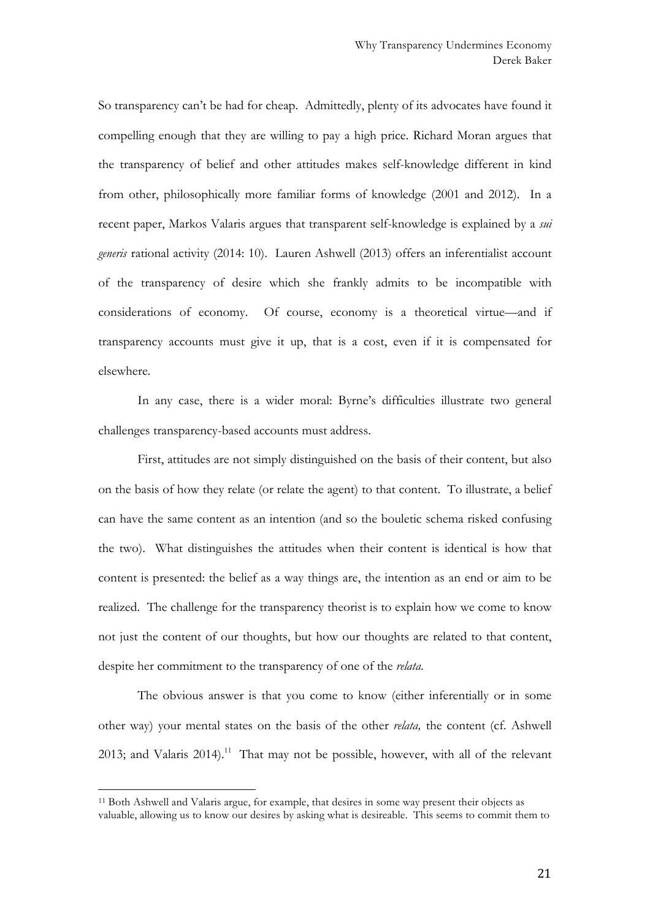So transparency can't be had for cheap. Admittedly, plenty of its advocates have found it compelling enough that they are willing to pay a high price. Richard Moran argues that the transparency of belief and other attitudes makes self-knowledge different in kind from other, philosophically more familiar forms of knowledge (2001 and 2012). In a recent paper, Markos Valaris argues that transparent self-knowledge is explained by a *sui generis* rational activity (2014: 10). Lauren Ashwell (2013) offers an inferentialist account of the transparency of desire which she frankly admits to be incompatible with considerations of economy. Of course, economy is a theoretical virtue—and if transparency accounts must give it up, that is a cost, even if it is compensated for elsewhere.

In any case, there is a wider moral: Byrne's difficulties illustrate two general challenges transparency-based accounts must address.

First, attitudes are not simply distinguished on the basis of their content, but also on the basis of how they relate (or relate the agent) to that content. To illustrate, a belief can have the same content as an intention (and so the bouletic schema risked confusing the two). What distinguishes the attitudes when their content is identical is how that content is presented: the belief as a way things are, the intention as an end or aim to be realized. The challenge for the transparency theorist is to explain how we come to know not just the content of our thoughts, but how our thoughts are related to that content, despite her commitment to the transparency of one of the *relata*.

The obvious answer is that you come to know (either inferentially or in some other way) your mental states on the basis of the other *relata,* the content (cf. Ashwell 2013; and Valaris 2014).<sup>11</sup> That may not be possible, however, with all of the relevant

<sup>11</sup> Both Ashwell and Valaris argue, for example, that desires in some way present their objects as valuable, allowing us to know our desires by asking what is desireable. This seems to commit them to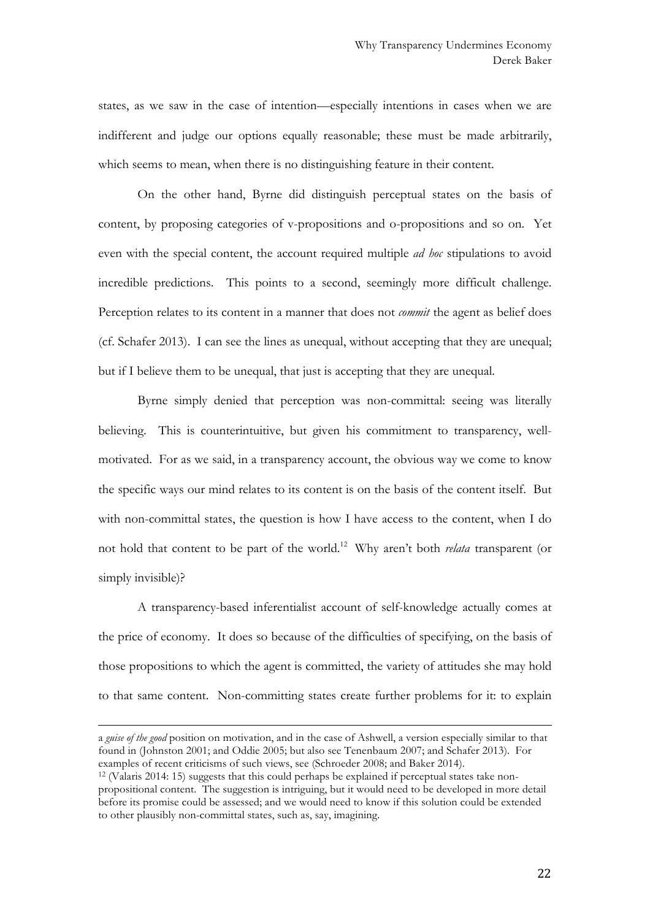states, as we saw in the case of intention—especially intentions in cases when we are indifferent and judge our options equally reasonable; these must be made arbitrarily, which seems to mean, when there is no distinguishing feature in their content.

On the other hand, Byrne did distinguish perceptual states on the basis of content, by proposing categories of v-propositions and o-propositions and so on. Yet even with the special content, the account required multiple *ad hoc* stipulations to avoid incredible predictions. This points to a second, seemingly more difficult challenge. Perception relates to its content in a manner that does not *commit* the agent as belief does (cf. Schafer 2013). I can see the lines as unequal, without accepting that they are unequal; but if I believe them to be unequal, that just is accepting that they are unequal.

Byrne simply denied that perception was non-committal: seeing was literally believing. This is counterintuitive, but given his commitment to transparency, wellmotivated. For as we said, in a transparency account, the obvious way we come to know the specific ways our mind relates to its content is on the basis of the content itself. But with non-committal states, the question is how I have access to the content, when I do not hold that content to be part of the world.12 Why aren't both *relata* transparent (or simply invisible)?

A transparency-based inferentialist account of self-knowledge actually comes at the price of economy. It does so because of the difficulties of specifying, on the basis of those propositions to which the agent is committed, the variety of attitudes she may hold to that same content. Non-committing states create further problems for it: to explain

<u> 1989 - Johann Stein, fransk politik (d. 1989)</u>

a *guise of the good* position on motivation, and in the case of Ashwell, a version especially similar to that found in (Johnston 2001; and Oddie 2005; but also see Tenenbaum 2007; and Schafer 2013). For examples of recent criticisms of such views, see (Schroeder 2008; and Baker 2014).

<sup>12</sup> (Valaris 2014: 15) suggests that this could perhaps be explained if perceptual states take nonpropositional content. The suggestion is intriguing, but it would need to be developed in more detail before its promise could be assessed; and we would need to know if this solution could be extended to other plausibly non-committal states, such as, say, imagining.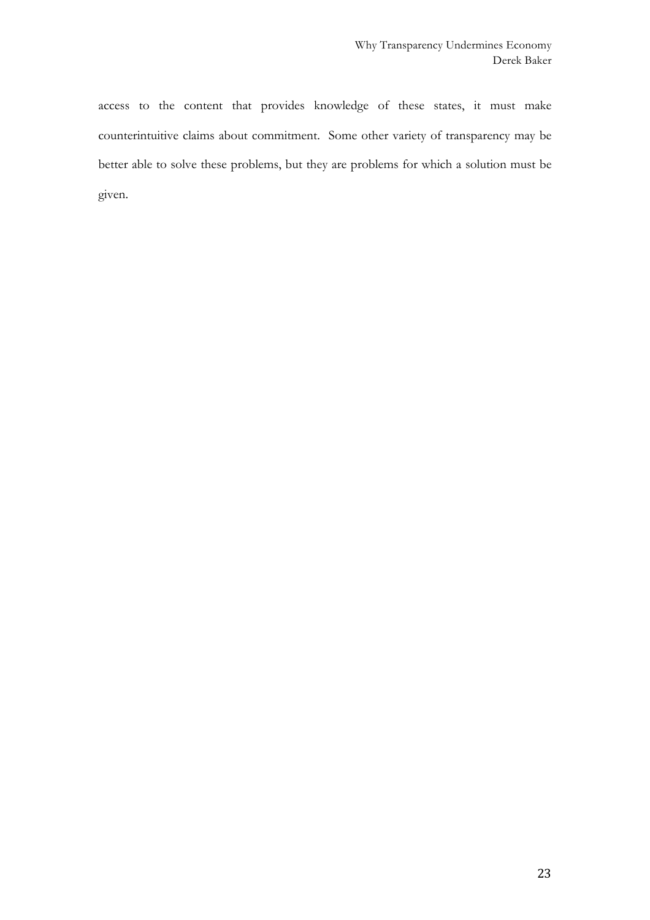access to the content that provides knowledge of these states, it must make counterintuitive claims about commitment. Some other variety of transparency may be better able to solve these problems, but they are problems for which a solution must be given.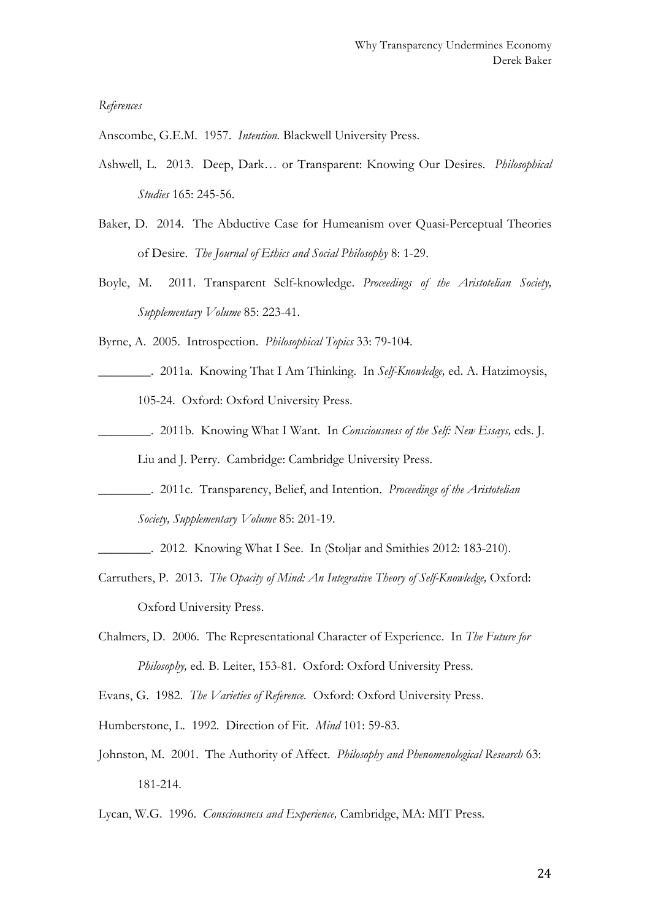## *References*

Anscombe, G.E.M. 1957. *Intention.* Blackwell University Press.

- Ashwell, L. 2013. Deep, Dark… or Transparent: Knowing Our Desires. *Philosophical Studies* 165: 245-56.
- Baker, D. 2014. The Abductive Case for Humeanism over Quasi-Perceptual Theories of Desire. *The Journal of Ethics and Social Philosophy* 8: 1-29.
- Boyle, M. 2011. Transparent Self-knowledge. *Proceedings of the Aristotelian Society, Supplementary Volume* 85: 223-41.
- Byrne, A. 2005. Introspection. *Philosophical Topics* 33: 79-104.
- \_\_\_\_\_\_\_\_. 2011a. Knowing That I Am Thinking. In *Self-Knowledge,* ed. A. Hatzimoysis, 105-24. Oxford: Oxford University Press.
- \_\_\_\_\_\_\_\_. 2011b. Knowing What I Want. In *Consciousness of the Self: New Essays,* eds. J. Liu and J. Perry. Cambridge: Cambridge University Press.
- \_\_\_\_\_\_\_\_. 2011c. Transparency, Belief, and Intention. *Proceedings of the Aristotelian*

*Society, Supplementary Volume* 85: 201-19.

- \_\_\_\_\_\_\_\_. 2012. Knowing What I See. In (Stoljar and Smithies 2012: 183-210).
- Carruthers, P. 2013. *The Opacity of Mind: An Integrative Theory of Self-Knowledge,* Oxford: Oxford University Press.
- Chalmers, D. 2006. The Representational Character of Experience. In *The Future for Philosophy,* ed. B. Leiter, 153-81. Oxford: Oxford University Press.
- Evans, G. 1982. *The Varieties of Reference.* Oxford: Oxford University Press.
- Humberstone, L. 1992. Direction of Fit. *Mind* 101: 59-83.
- Johnston, M. 2001. The Authority of Affect. *Philosophy and Phenomenological Research* 63: 181-214.
- Lycan, W.G. 1996. *Consciousness and Experience,* Cambridge, MA: MIT Press.